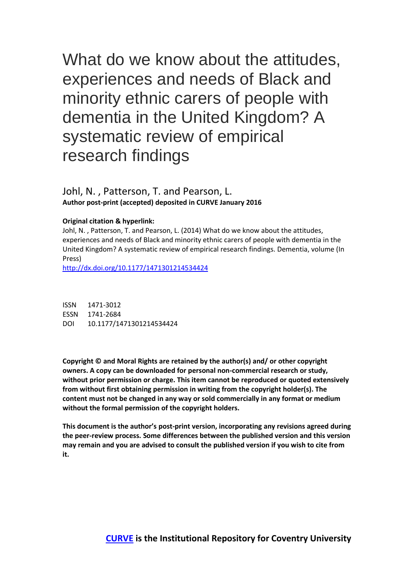What do we know about the attitudes, experiences and needs of Black and minority ethnic carers of people with dementia in the United Kingdom? A systematic review of empirical research findings

# Johl, N. , Patterson, T. and Pearson, L. **Author post-print (accepted) deposited in CURVE January 2016**

## **Original citation & hyperlink:**

Johl, N. , Patterson, T. and Pearson, L. (2014) What do we know about the attitudes, experiences and needs of Black and minority ethnic carers of people with dementia in the United Kingdom? A systematic review of empirical research findings. Dementia, volume (In Press)

<http://dx.doi.org/10.1177/1471301214534424>

ISSN 1471-3012 ESSN 1741-2684 DOI 10.1177/1471301214534424

**Copyright © and Moral Rights are retained by the author(s) and/ or other copyright owners. A copy can be downloaded for personal non-commercial research or study, without prior permission or charge. This item cannot be reproduced or quoted extensively from without first obtaining permission in writing from the copyright holder(s). The content must not be changed in any way or sold commercially in any format or medium without the formal permission of the copyright holders.** 

**This document is the author's post-print version, incorporating any revisions agreed during the peer-review process. Some differences between the published version and this version may remain and you are advised to consult the published version if you wish to cite from it.**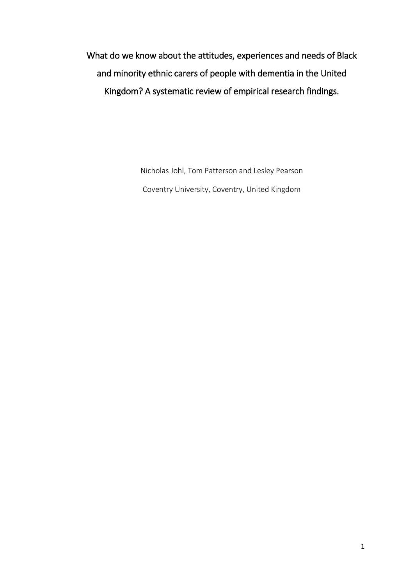What do we know about the attitudes, experiences and needs of Black and minority ethnic carers of people with dementia in the United Kingdom? A systematic review of empirical research findings.

> Nicholas Johl, Tom Patterson and Lesley Pearson Coventry University, Coventry, United Kingdom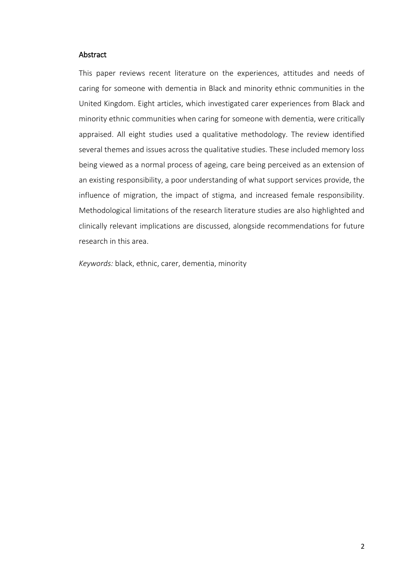## Abstract

This paper reviews recent literature on the experiences, attitudes and needs of caring for someone with dementia in Black and minority ethnic communities in the United Kingdom. Eight articles, which investigated carer experiences from Black and minority ethnic communities when caring for someone with dementia, were critically appraised. All eight studies used a qualitative methodology. The review identified several themes and issues across the qualitative studies. These included memory loss being viewed as a normal process of ageing, care being perceived as an extension of an existing responsibility, a poor understanding of what support services provide, the influence of migration, the impact of stigma, and increased female responsibility. Methodological limitations of the research literature studies are also highlighted and clinically relevant implications are discussed, alongside recommendations for future research in this area.

*Keywords:* black, ethnic, carer, dementia, minority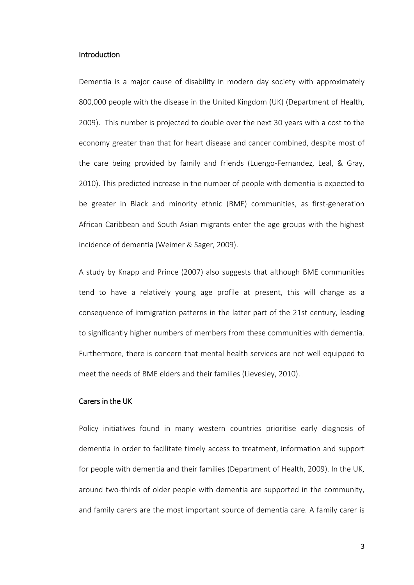## **Introduction**

Dementia is a major cause of disability in modern day society with approximately 800,000 people with the disease in the United Kingdom (UK) (Department of Health, 2009). This number is projected to double over the next 30 years with a cost to the economy greater than that for heart disease and cancer combined, despite most of the care being provided by family and friends (Luengo-Fernandez, Leal, & Gray, 2010). This predicted increase in the number of people with dementia is expected to be greater in Black and minority ethnic (BME) communities, as first-generation African Caribbean and South Asian migrants enter the age groups with the highest incidence of dementia (Weimer & Sager, 2009).

A study by Knapp and Prince (2007) also suggests that although BME communities tend to have a relatively young age profile at present, this will change as a consequence of immigration patterns in the latter part of the 21st century, leading to significantly higher numbers of members from these communities with dementia. Furthermore, there is concern that mental health services are not well equipped to meet the needs of BME elders and their families (Lievesley, 2010).

# Carers in the UK

Policy initiatives found in many western countries prioritise early diagnosis of dementia in order to facilitate timely access to treatment, information and support for people with dementia and their families (Department of Health, 2009). In the UK, around two-thirds of older people with dementia are supported in the community, and family carers are the most important source of dementia care. A family carer is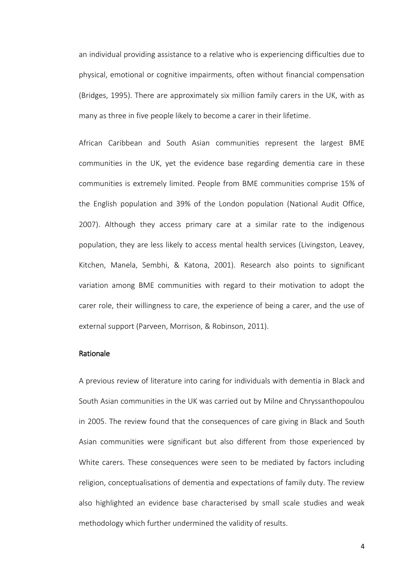an individual providing assistance to a relative who is experiencing difficulties due to physical, emotional or cognitive impairments, often without financial compensation (Bridges, 1995). There are approximately six million family carers in the UK, with as many as three in five people likely to become a carer in their lifetime.

African Caribbean and South Asian communities represent the largest BME communities in the UK, yet the evidence base regarding dementia care in these communities is extremely limited. People from BME communities comprise 15% of the English population and 39% of the London population (National Audit Office, 2007). Although they access primary care at a similar rate to the indigenous population, they are less likely to access mental health services (Livingston, Leavey, Kitchen, Manela, Sembhi, & Katona, 2001). Research also points to significant variation among BME communities with regard to their motivation to adopt the carer role, their willingness to care, the experience of being a carer, and the use of external support (Parveen, Morrison, & Robinson, 2011).

## Rationale

A previous review of literature into caring for individuals with dementia in Black and South Asian communities in the UK was carried out by Milne and Chryssanthopoulou in 2005. The review found that the consequences of care giving in Black and South Asian communities were significant but also different from those experienced by White carers. These consequences were seen to be mediated by factors including religion, conceptualisations of dementia and expectations of family duty. The review also highlighted an evidence base characterised by small scale studies and weak methodology which further undermined the validity of results.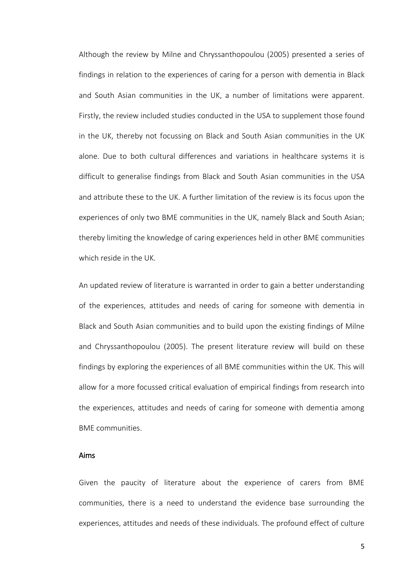Although the review by Milne and Chryssanthopoulou (2005) presented a series of findings in relation to the experiences of caring for a person with dementia in Black and South Asian communities in the UK, a number of limitations were apparent. Firstly, the review included studies conducted in the USA to supplement those found in the UK, thereby not focussing on Black and South Asian communities in the UK alone. Due to both cultural differences and variations in healthcare systems it is difficult to generalise findings from Black and South Asian communities in the USA and attribute these to the UK. A further limitation of the review is its focus upon the experiences of only two BME communities in the UK, namely Black and South Asian; thereby limiting the knowledge of caring experiences held in other BME communities which reside in the UK.

An updated review of literature is warranted in order to gain a better understanding of the experiences, attitudes and needs of caring for someone with dementia in Black and South Asian communities and to build upon the existing findings of Milne and Chryssanthopoulou (2005). The present literature review will build on these findings by exploring the experiences of all BME communities within the UK. This will allow for a more focussed critical evaluation of empirical findings from research into the experiences, attitudes and needs of caring for someone with dementia among BME communities.

## Aims

Given the paucity of literature about the experience of carers from BME communities, there is a need to understand the evidence base surrounding the experiences, attitudes and needs of these individuals. The profound effect of culture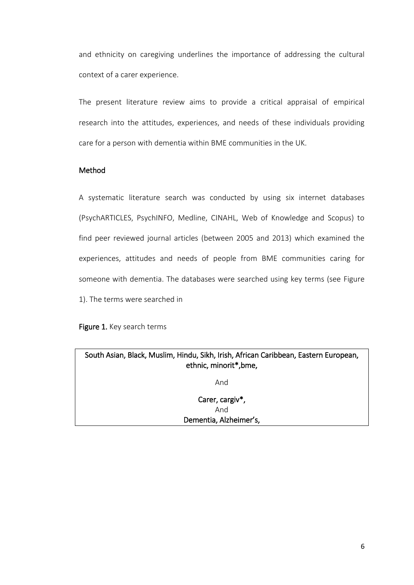and ethnicity on caregiving underlines the importance of addressing the cultural context of a carer experience.

The present literature review aims to provide a critical appraisal of empirical research into the attitudes, experiences, and needs of these individuals providing care for a person with dementia within BME communities in the UK.

# Method

A systematic literature search was conducted by using six internet databases (PsychARTICLES, PsychINFO, Medline, CINAHL, Web of Knowledge and Scopus) to find peer reviewed journal articles (between 2005 and 2013) which examined the experiences, attitudes and needs of people from BME communities caring for someone with dementia. The databases were searched using key terms (see Figure 1). The terms were searched in

Figure 1. Key search terms

| South Asian, Black, Muslim, Hindu, Sikh, Irish, African Caribbean, Eastern European,<br>ethnic, minorit*, bme, |
|----------------------------------------------------------------------------------------------------------------|
| And                                                                                                            |
| Carer, cargiv*,<br>And                                                                                         |
| Dementia, Alzheimer's,                                                                                         |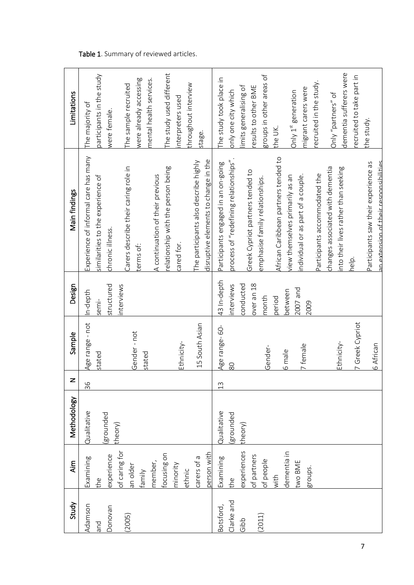| Study                                     | Aim                                                                                                                                                 | Methodology                         |               | Sample                                                                                             | Design                                                                                                  | Main findings                                                                                                                                                                                                                                                                                                                                                                                                                                                                       | Limitations                                                                                                                                                                                                                                                                                                              |
|-------------------------------------------|-----------------------------------------------------------------------------------------------------------------------------------------------------|-------------------------------------|---------------|----------------------------------------------------------------------------------------------------|---------------------------------------------------------------------------------------------------------|-------------------------------------------------------------------------------------------------------------------------------------------------------------------------------------------------------------------------------------------------------------------------------------------------------------------------------------------------------------------------------------------------------------------------------------------------------------------------------------|--------------------------------------------------------------------------------------------------------------------------------------------------------------------------------------------------------------------------------------------------------------------------------------------------------------------------|
| Adamson<br>Donovan<br>(2005)<br>pue       | of caring for<br>focusing on<br>person with<br>experience<br>carers of a<br>Examining<br>member,<br>minority<br>an older<br>ethnic<br>family<br>the | Qualitative<br>(grounded<br>theory) | 36            | Age range - not<br>15 South Asian<br>Gender-not<br>Ethnicity-<br>stated<br>stated                  | structured<br>nterviews<br>n-depth<br>semi-                                                             | Experience of informal care has many<br>disruptive elements to change in the<br>The participants also describe highly<br>Carers describe their caring role in<br>elationship with the person being<br>A continuation of their previous<br>similarities to the experience of<br>chronic illness.<br>cared for.<br>terms of:                                                                                                                                                          | The study used different<br>participants in the study<br>mental health services.<br>were already accessing<br>throughout interview<br>The sample recruited<br>interpreters used<br>The majority of<br>were female.<br>stage.                                                                                             |
| Clarke and<br>Botsford,<br>(2011)<br>ddio | experiences<br>dementia in<br>of partners<br>Examining<br>of people<br>two BME<br>groups.<br>with<br>the                                            | Qualitative<br>grounded<br>theory)  | $\frac{3}{1}$ | 7 Greek Cypriot<br>Age range-60-<br>Ethnicity-<br>6 African<br>7 female<br>Gender-<br>6 male<br>80 | 43 In-depth<br>conducted<br>over an 18<br>nterviews<br>$2007$ and<br>between<br>month<br>period<br>2009 | African Caribbean partners tended to<br>process of "redefining relationships".<br><u>an extension of their resnonsibilities.</u><br>Participants engaged in an on-going<br>Participants saw their experience as<br>changes associated with dementia<br>nto their lives rather than seeking<br>Greek Cypriot partners tended to<br>Participants accommodated the<br>ndividual or as part of a couple.<br>view themselves primarily as an<br>emphasise family relationships.<br>help. | dementia sufferers were<br>groups in other areas of<br>recruited to take part in<br>The study took place in<br>recruited in the study.<br>limits generalising of<br>results to other BME<br>migrant carers were<br>only one city which<br>Only 1 <sup>st</sup> generation<br>Only "partners" of<br>the study.<br>the UK. |

# Table 1. Summary of reviewed articles.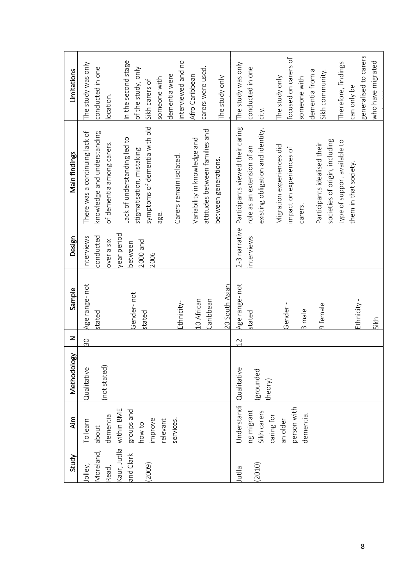| Study                               | Aim                                                                                                   | Methodology                        | z  | Sample                                                                 | Design                                     | Main findings                                                                                                                                                                                                                                                                                      | Limitations                                                                                                                                                                                                    |
|-------------------------------------|-------------------------------------------------------------------------------------------------------|------------------------------------|----|------------------------------------------------------------------------|--------------------------------------------|----------------------------------------------------------------------------------------------------------------------------------------------------------------------------------------------------------------------------------------------------------------------------------------------------|----------------------------------------------------------------------------------------------------------------------------------------------------------------------------------------------------------------|
| Moreland,<br>Jolley,<br>Read,       | dementia<br>o learn<br>about                                                                          | (not stated)<br>Qualitative        | 30 | Age range-not<br>stated                                                | conducted<br>nterviews<br>over a six       | There was a continuing lack of<br>knowledge and understanding<br>of dementia among carers.                                                                                                                                                                                                         | The study was only<br>conducted in one<br>ocation.                                                                                                                                                             |
| Kaur, Jutlla<br>and Clark<br>(2009) | within BME<br>groups and<br>relevant<br>mprove<br>how to                                              |                                    |    | Gender-not<br>stated                                                   | year period<br>2000 and<br>between<br>2006 | symptoms of dementia with old<br>Lack of understanding led to<br>stigmatisation, mistaking<br>age.                                                                                                                                                                                                 | n the second stage<br>of the study, only<br>someone with<br>Sikh carers of                                                                                                                                     |
|                                     | services.                                                                                             |                                    |    | Ethnicity-                                                             |                                            | Carers remain isolated.                                                                                                                                                                                                                                                                            | interviewed and no<br>dementia were                                                                                                                                                                            |
|                                     |                                                                                                       |                                    |    | 20 South Asian<br>10 African<br>Caribbean                              |                                            | attitudes between families and<br>Variability in knowledge and<br>between generations.                                                                                                                                                                                                             | carers were used.<br>Afro Caribbean<br>The study only                                                                                                                                                          |
| (2010)<br>Jutlla                    | <b>Jnderstandi</b><br>person with<br>ng migrant<br>Sikh carers<br>dementia.<br>caring for<br>an older | Qualitative<br>grounded<br>theory) | 12 | Age range- not<br>Ethnicity<br>Gender-<br>9 female<br>3 male<br>stated | 2-3 narrative<br>nterviews                 | Participants viewed their caring<br>existing obligation and identity.<br>societies of origin, including<br>type of support available to<br>Participants idealised their<br>Migration experiences did<br>role as an extension of an<br>impact on experiences of<br>them in that society.<br>carers. | generalised to carers<br>focused on carers of<br>Therefore, findings<br>The study was only<br>conducted in one<br>dementia from a<br>sikh community.<br>The study only<br>someone with<br>can only be<br>city. |
|                                     |                                                                                                       |                                    |    | Sikh                                                                   |                                            |                                                                                                                                                                                                                                                                                                    | who have migrated                                                                                                                                                                                              |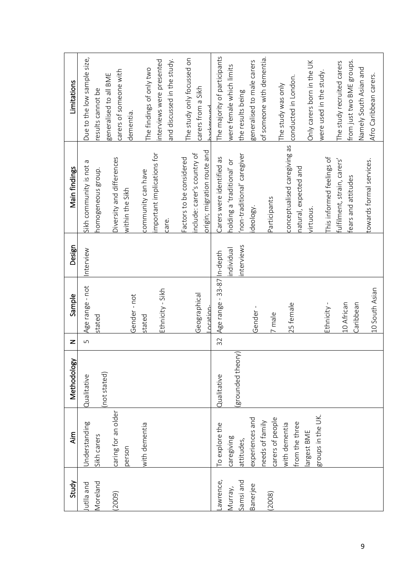| Study                            | <b>Aim</b>                                          | Methodology                     | z  | Sample                                    | Design                 | Main findings                                                                          | Limitations                                                                                                 |
|----------------------------------|-----------------------------------------------------|---------------------------------|----|-------------------------------------------|------------------------|----------------------------------------------------------------------------------------|-------------------------------------------------------------------------------------------------------------|
| Moreland<br>utlla and            | Understanding<br>Sikh carers                        | (not stated)<br>Qualitative     | S  | Age range - not<br>stated                 | Interview              | Sikh community is not a<br>homogeneous group.                                          | Due to the low sample size,<br>results cannot be                                                            |
| (2009)                           | caring for an older<br>person                       |                                 |    | Gender-not                                |                        | Diversity and differences<br>within the Sikh                                           | carers of someone with<br>generalised to all BME<br>dementia.                                               |
|                                  | with dementia                                       |                                 |    | Ethnicity - Sikh<br>stated                |                        | important implications for<br>community can have<br>care.                              | and discussed in the study.<br>interviews were presented<br>The findings of only two                        |
|                                  |                                                     |                                 |    | Geographical<br>ncation-                  |                        | origin; migration route and<br>include: carer's country of<br>Factors to be considered | The study only focussed on<br>carers from a Sikh<br>المستمعمامد                                             |
| awrence,<br>Samsi and<br>Murray, | To explore the<br>caregiving<br>attitudes,          | grounded theory)<br>Qualitative | 32 | Age range - 33-87 In-depth                | nterviews<br>hdividual | 'non-traditional' caregiver<br>Carers were identified as<br>holding a 'traditional' or | The majority of participants<br>were female which limits<br>the results being                               |
| Banerjee                         | experiences and<br>needs of family                  |                                 |    | Gender-                                   |                        | ideology.                                                                              | of someone with dementia.<br>generalised to male carers                                                     |
| 2008)                            | carers of people<br>from the three<br>with dementia |                                 |    | 25 female<br>7 male                       |                        | conceptualised caregiving as<br>natural, expected and<br>Participants                  | conducted in London.<br>The study was only                                                                  |
|                                  | groups in the UK.<br>largest BME                    |                                 |    | Ethnicity -                               |                        | This informed feelings of<br>virtuous.                                                 | Only carers born in the UK<br>were used in the study.                                                       |
|                                  |                                                     |                                 |    | 10 South Asian<br>10 African<br>Caribbean |                        | fulfilment, strain, carers'<br>towards formal services.<br>fears and attitudes         | from just two BME groups.<br>The study recruited carers<br>Namely South Asian and<br>Afro Caribbean carers. |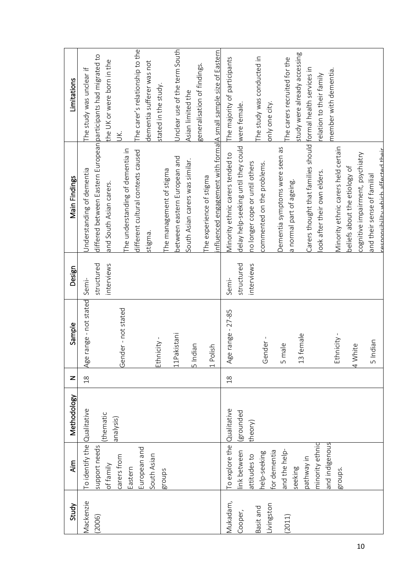| Study      | Aim                          | Methodology | z              | Sample                               | Design     | Main Findings                                                   | Limitations                                  |
|------------|------------------------------|-------------|----------------|--------------------------------------|------------|-----------------------------------------------------------------|----------------------------------------------|
| Vlackenzie | To identify the Qualitative  |             | $\frac{8}{10}$ | Age range - not stated               | Semi-      | Understanding of dementia                                       | The study was unclear if                     |
| (2006)     | support needs                |             |                |                                      | structured | differed between Eastern European participants had migrated to  |                                              |
|            | of family                    | (thematic   |                |                                      | interviews | and South Asian carers.                                         | the UK or were born in the                   |
|            | carers from<br>Eastern       | analysis)   |                | Gender - not stated                  |            | The understanding of dementia in                                | УČ.                                          |
|            | European and                 |             |                |                                      |            | different cultural contexts caused                              | The carer's relationship to the              |
|            | South Asian                  |             |                |                                      |            | stigma.                                                         | dementia sufferer was not                    |
|            | groups                       |             |                | Ethnicity -                          |            |                                                                 | stated in the study.                         |
|            |                              |             |                |                                      |            | The management of stigma                                        |                                              |
|            |                              |             |                | Pakistani<br>$\Box$                  |            | between eastern European and                                    | Unclear use of the term South                |
|            |                              |             |                | 5 Indian                             |            | South Asian carers was similar.                                 | Asian limited the                            |
|            |                              |             |                |                                      |            | The experience of stigma                                        | generalisation of findings.                  |
|            |                              |             |                | 1 Polish                             |            | nfluenced engagement with formal A small sample size of Eastern |                                              |
| Vlukadam,  | To explore the Qualitative   |             | $\frac{8}{10}$ | Age range - 27-85                    | Semi-      | Minority ethnic carers tended to                                | The majority of participants                 |
| Cooper,    | ink between                  | (grounded   |                |                                      | structured | delay help-seeking until they could were female.                |                                              |
| Basit and  | attitudes to                 | theory)     |                |                                      | interviews | no longer cope or until others                                  |                                              |
| Livingston | for dementia<br>help-seeking |             |                | ender<br>O                           |            | commented on the problems.                                      | The study was conducted in<br>only one city. |
| (2011)     | and the help-                |             |                | male<br>ഗ                            |            | Dementia symptoms were seen as                                  | The carers recruited for the                 |
|            | seeking                      |             |                | 3 female<br>$\overline{\phantom{0}}$ |            | a normal part of ageing.                                        | study were already accessing                 |
|            | pathway in                   |             |                |                                      |            | Carers thought that families should formal health services in   |                                              |
|            | minority ethnic              |             |                |                                      |            | ook after their own elders.                                     | relation to their family                     |
|            | and indigenous<br>groups.    |             |                | Ethnicity -                          |            | Vinority ethnic carers held certain                             | member with dementia.                        |
|            |                              |             |                | 4 White                              |            | beliefs about the etiology of                                   |                                              |
|            |                              |             |                |                                      |            | cognitive impairment, psychiatry                                |                                              |
|            |                              |             |                | Indian<br>S                          |            | and their sense of familial                                     |                                              |
|            |                              |             |                |                                      |            | cesnonsibility which affected their                             |                                              |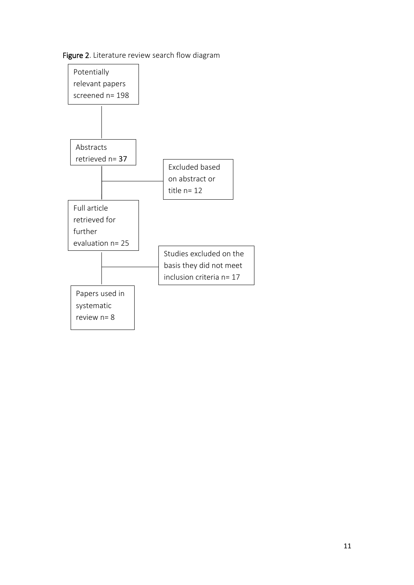# Figure 2. Literature review search flow diagram

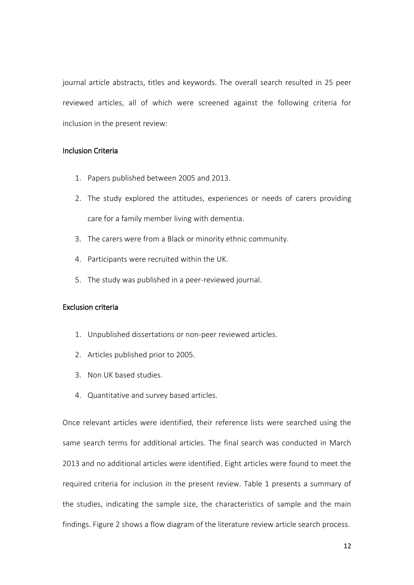journal article abstracts, titles and keywords. The overall search resulted in 25 peer reviewed articles, all of which were screened against the following criteria for inclusion in the present review:

# Inclusion Criteria

- 1. Papers published between 2005 and 2013.
- 2. The study explored the attitudes, experiences or needs of carers providing care for a family member living with dementia.
- 3. The carers were from a Black or minority ethnic community.
- 4. Participants were recruited within the UK.
- 5. The study was published in a peer-reviewed journal.

# Exclusion criteria

- 1. Unpublished dissertations or non-peer reviewed articles.
- 2. Articles published prior to 2005.
- 3. Non UK based studies.
- 4. Quantitative and survey based articles.

Once relevant articles were identified, their reference lists were searched using the same search terms for additional articles. The final search was conducted in March 2013 and no additional articles were identified. Eight articles were found to meet the required criteria for inclusion in the present review. Table 1 presents a summary of the studies, indicating the sample size, the characteristics of sample and the main findings. Figure 2 shows a flow diagram of the literature review article search process.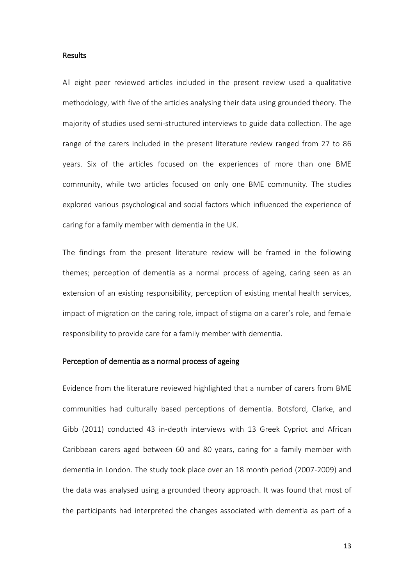## **Results**

All eight peer reviewed articles included in the present review used a qualitative methodology, with five of the articles analysing their data using grounded theory. The majority of studies used semi-structured interviews to guide data collection. The age range of the carers included in the present literature review ranged from 27 to 86 years. Six of the articles focused on the experiences of more than one BME community, while two articles focused on only one BME community. The studies explored various psychological and social factors which influenced the experience of caring for a family member with dementia in the UK.

The findings from the present literature review will be framed in the following themes; perception of dementia as a normal process of ageing, caring seen as an extension of an existing responsibility, perception of existing mental health services, impact of migration on the caring role, impact of stigma on a carer's role, and female responsibility to provide care for a family member with dementia.

## Perception of dementia as a normal process of ageing

Evidence from the literature reviewed highlighted that a number of carers from BME communities had culturally based perceptions of dementia. Botsford, Clarke, and Gibb (2011) conducted 43 in-depth interviews with 13 Greek Cypriot and African Caribbean carers aged between 60 and 80 years, caring for a family member with dementia in London. The study took place over an 18 month period (2007-2009) and the data was analysed using a grounded theory approach. It was found that most of the participants had interpreted the changes associated with dementia as part of a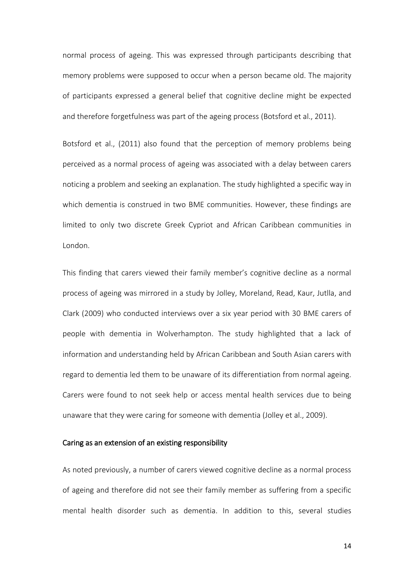normal process of ageing. This was expressed through participants describing that memory problems were supposed to occur when a person became old. The majority of participants expressed a general belief that cognitive decline might be expected and therefore forgetfulness was part of the ageing process (Botsford et al., 2011).

Botsford et al., (2011) also found that the perception of memory problems being perceived as a normal process of ageing was associated with a delay between carers noticing a problem and seeking an explanation. The study highlighted a specific way in which dementia is construed in two BME communities. However, these findings are limited to only two discrete Greek Cypriot and African Caribbean communities in London.

This finding that carers viewed their family member's cognitive decline as a normal process of ageing was mirrored in a study by Jolley, Moreland, Read, Kaur, Jutlla, and Clark (2009) who conducted interviews over a six year period with 30 BME carers of people with dementia in Wolverhampton. The study highlighted that a lack of information and understanding held by African Caribbean and South Asian carers with regard to dementia led them to be unaware of its differentiation from normal ageing. Carers were found to not seek help or access mental health services due to being unaware that they were caring for someone with dementia (Jolley et al., 2009).

#### Caring as an extension of an existing responsibility

As noted previously, a number of carers viewed cognitive decline as a normal process of ageing and therefore did not see their family member as suffering from a specific mental health disorder such as dementia. In addition to this, several studies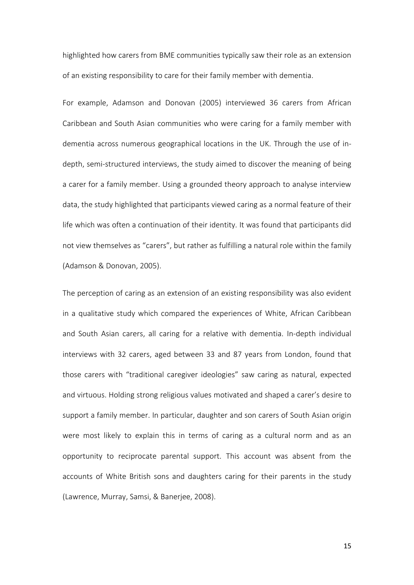highlighted how carers from BME communities typically saw their role as an extension of an existing responsibility to care for their family member with dementia.

For example, Adamson and Donovan (2005) interviewed 36 carers from African Caribbean and South Asian communities who were caring for a family member with dementia across numerous geographical locations in the UK. Through the use of indepth, semi-structured interviews, the study aimed to discover the meaning of being a carer for a family member. Using a grounded theory approach to analyse interview data, the study highlighted that participants viewed caring as a normal feature of their life which was often a continuation of their identity. It was found that participants did not view themselves as "carers", but rather as fulfilling a natural role within the family (Adamson & Donovan, 2005).

The perception of caring as an extension of an existing responsibility was also evident in a qualitative study which compared the experiences of White, African Caribbean and South Asian carers, all caring for a relative with dementia. In-depth individual interviews with 32 carers, aged between 33 and 87 years from London, found that those carers with "traditional caregiver ideologies" saw caring as natural, expected and virtuous. Holding strong religious values motivated and shaped a carer's desire to support a family member. In particular, daughter and son carers of South Asian origin were most likely to explain this in terms of caring as a cultural norm and as an opportunity to reciprocate parental support. This account was absent from the accounts of White British sons and daughters caring for their parents in the study (Lawrence, Murray, Samsi, & Banerjee, 2008).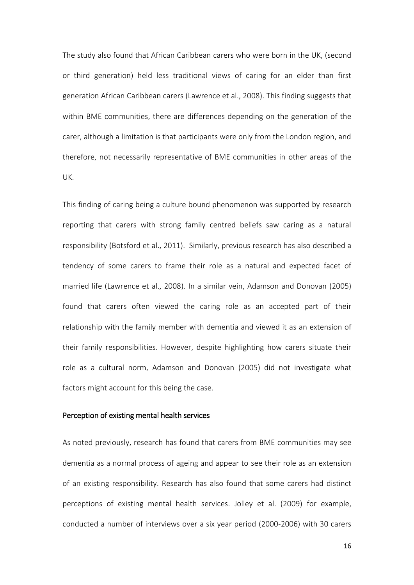The study also found that African Caribbean carers who were born in the UK, (second or third generation) held less traditional views of caring for an elder than first generation African Caribbean carers (Lawrence et al., 2008). This finding suggests that within BME communities, there are differences depending on the generation of the carer, although a limitation is that participants were only from the London region, and therefore, not necessarily representative of BME communities in other areas of the UK.

This finding of caring being a culture bound phenomenon was supported by research reporting that carers with strong family centred beliefs saw caring as a natural responsibility (Botsford et al., 2011). Similarly, previous research has also described a tendency of some carers to frame their role as a natural and expected facet of married life (Lawrence et al., 2008). In a similar vein, Adamson and Donovan (2005) found that carers often viewed the caring role as an accepted part of their relationship with the family member with dementia and viewed it as an extension of their family responsibilities. However, despite highlighting how carers situate their role as a cultural norm, Adamson and Donovan (2005) did not investigate what factors might account for this being the case.

## Perception of existing mental health services

As noted previously, research has found that carers from BME communities may see dementia as a normal process of ageing and appear to see their role as an extension of an existing responsibility. Research has also found that some carers had distinct perceptions of existing mental health services. Jolley et al. (2009) for example, conducted a number of interviews over a six year period (2000-2006) with 30 carers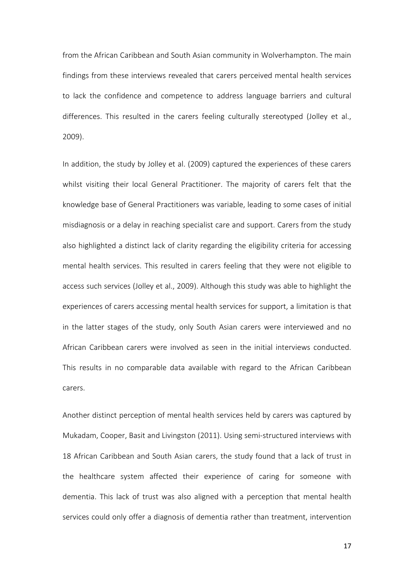from the African Caribbean and South Asian community in Wolverhampton. The main findings from these interviews revealed that carers perceived mental health services to lack the confidence and competence to address language barriers and cultural differences. This resulted in the carers feeling culturally stereotyped (Jolley et al., 2009).

In addition, the study by Jolley et al. (2009) captured the experiences of these carers whilst visiting their local General Practitioner. The majority of carers felt that the knowledge base of General Practitioners was variable, leading to some cases of initial misdiagnosis or a delay in reaching specialist care and support. Carers from the study also highlighted a distinct lack of clarity regarding the eligibility criteria for accessing mental health services. This resulted in carers feeling that they were not eligible to access such services (Jolley et al., 2009). Although this study was able to highlight the experiences of carers accessing mental health services for support, a limitation is that in the latter stages of the study, only South Asian carers were interviewed and no African Caribbean carers were involved as seen in the initial interviews conducted. This results in no comparable data available with regard to the African Caribbean carers.

Another distinct perception of mental health services held by carers was captured by Mukadam, Cooper, Basit and Livingston (2011). Using semi-structured interviews with 18 African Caribbean and South Asian carers, the study found that a lack of trust in the healthcare system affected their experience of caring for someone with dementia. This lack of trust was also aligned with a perception that mental health services could only offer a diagnosis of dementia rather than treatment, intervention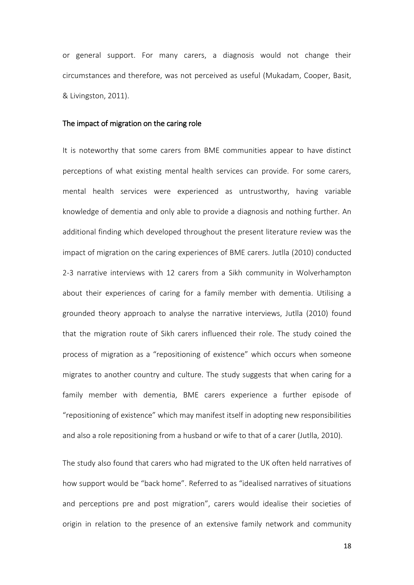or general support. For many carers, a diagnosis would not change their circumstances and therefore, was not perceived as useful (Mukadam, Cooper, Basit, & Livingston, 2011).

## The impact of migration on the caring role

It is noteworthy that some carers from BME communities appear to have distinct perceptions of what existing mental health services can provide. For some carers, mental health services were experienced as untrustworthy, having variable knowledge of dementia and only able to provide a diagnosis and nothing further. An additional finding which developed throughout the present literature review was the impact of migration on the caring experiences of BME carers. Jutlla (2010) conducted 2-3 narrative interviews with 12 carers from a Sikh community in Wolverhampton about their experiences of caring for a family member with dementia. Utilising a grounded theory approach to analyse the narrative interviews, Jutlla (2010) found that the migration route of Sikh carers influenced their role. The study coined the process of migration as a "repositioning of existence" which occurs when someone migrates to another country and culture. The study suggests that when caring for a family member with dementia, BME carers experience a further episode of "repositioning of existence" which may manifest itself in adopting new responsibilities and also a role repositioning from a husband or wife to that of a carer (Jutlla, 2010).

The study also found that carers who had migrated to the UK often held narratives of how support would be "back home". Referred to as "idealised narratives of situations and perceptions pre and post migration", carers would idealise their societies of origin in relation to the presence of an extensive family network and community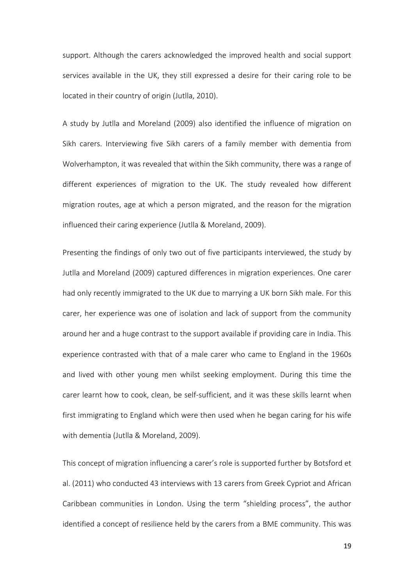support. Although the carers acknowledged the improved health and social support services available in the UK, they still expressed a desire for their caring role to be located in their country of origin (Jutlla, 2010).

A study by Jutlla and Moreland (2009) also identified the influence of migration on Sikh carers. Interviewing five Sikh carers of a family member with dementia from Wolverhampton, it was revealed that within the Sikh community, there was a range of different experiences of migration to the UK. The study revealed how different migration routes, age at which a person migrated, and the reason for the migration influenced their caring experience (Jutlla & Moreland, 2009).

Presenting the findings of only two out of five participants interviewed, the study by Jutlla and Moreland (2009) captured differences in migration experiences. One carer had only recently immigrated to the UK due to marrying a UK born Sikh male. For this carer, her experience was one of isolation and lack of support from the community around her and a huge contrast to the support available if providing care in India. This experience contrasted with that of a male carer who came to England in the 1960s and lived with other young men whilst seeking employment. During this time the carer learnt how to cook, clean, be self-sufficient, and it was these skills learnt when first immigrating to England which were then used when he began caring for his wife with dementia (Jutlla & Moreland, 2009).

This concept of migration influencing a carer's role is supported further by Botsford et al. (2011) who conducted 43 interviews with 13 carers from Greek Cypriot and African Caribbean communities in London. Using the term "shielding process", the author identified a concept of resilience held by the carers from a BME community. This was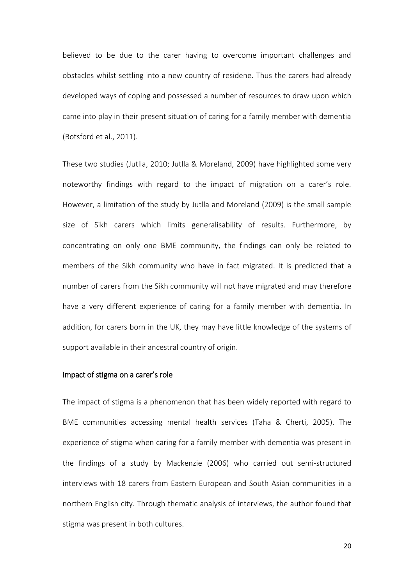believed to be due to the carer having to overcome important challenges and obstacles whilst settling into a new country of residene. Thus the carers had already developed ways of coping and possessed a number of resources to draw upon which came into play in their present situation of caring for a family member with dementia (Botsford et al., 2011).

These two studies (Jutlla, 2010; Jutlla & Moreland, 2009) have highlighted some very noteworthy findings with regard to the impact of migration on a carer's role. However, a limitation of the study by Jutlla and Moreland (2009) is the small sample size of Sikh carers which limits generalisability of results. Furthermore, by concentrating on only one BME community, the findings can only be related to members of the Sikh community who have in fact migrated. It is predicted that a number of carers from the Sikh community will not have migrated and may therefore have a very different experience of caring for a family member with dementia. In addition, for carers born in the UK, they may have little knowledge of the systems of support available in their ancestral country of origin.

#### Impact of stigma on a carer's role

The impact of stigma is a phenomenon that has been widely reported with regard to BME communities accessing mental health services (Taha & Cherti, 2005). The experience of stigma when caring for a family member with dementia was present in the findings of a study by Mackenzie (2006) who carried out semi-structured interviews with 18 carers from Eastern European and South Asian communities in a northern English city. Through thematic analysis of interviews, the author found that stigma was present in both cultures.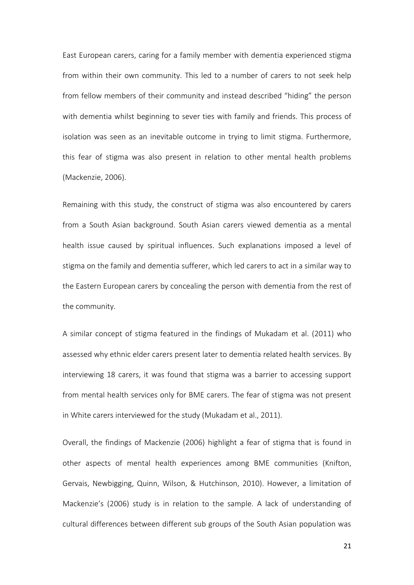East European carers, caring for a family member with dementia experienced stigma from within their own community. This led to a number of carers to not seek help from fellow members of their community and instead described "hiding" the person with dementia whilst beginning to sever ties with family and friends. This process of isolation was seen as an inevitable outcome in trying to limit stigma. Furthermore, this fear of stigma was also present in relation to other mental health problems (Mackenzie, 2006).

Remaining with this study, the construct of stigma was also encountered by carers from a South Asian background. South Asian carers viewed dementia as a mental health issue caused by spiritual influences. Such explanations imposed a level of stigma on the family and dementia sufferer, which led carers to act in a similar way to the Eastern European carers by concealing the person with dementia from the rest of the community.

A similar concept of stigma featured in the findings of Mukadam et al. (2011) who assessed why ethnic elder carers present later to dementia related health services. By interviewing 18 carers, it was found that stigma was a barrier to accessing support from mental health services only for BME carers. The fear of stigma was not present in White carers interviewed for the study (Mukadam et al., 2011).

Overall, the findings of Mackenzie (2006) highlight a fear of stigma that is found in other aspects of mental health experiences among BME communities (Knifton, Gervais, Newbigging, Quinn, Wilson, & Hutchinson, 2010). However, a limitation of Mackenzie's (2006) study is in relation to the sample. A lack of understanding of cultural differences between different sub groups of the South Asian population was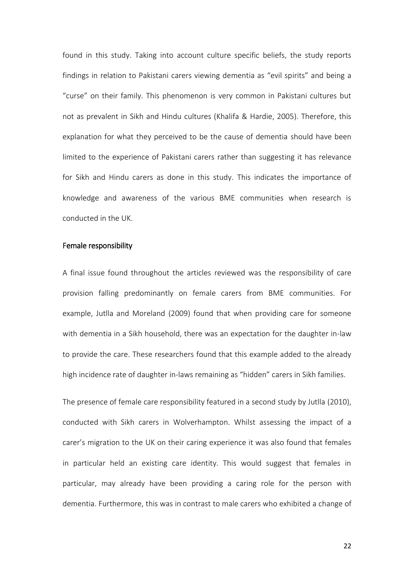found in this study. Taking into account culture specific beliefs, the study reports findings in relation to Pakistani carers viewing dementia as "evil spirits" and being a "curse" on their family. This phenomenon is very common in Pakistani cultures but not as prevalent in Sikh and Hindu cultures (Khalifa & Hardie, 2005). Therefore, this explanation for what they perceived to be the cause of dementia should have been limited to the experience of Pakistani carers rather than suggesting it has relevance for Sikh and Hindu carers as done in this study. This indicates the importance of knowledge and awareness of the various BME communities when research is conducted in the UK.

### Female responsibility

A final issue found throughout the articles reviewed was the responsibility of care provision falling predominantly on female carers from BME communities. For example, Jutlla and Moreland (2009) found that when providing care for someone with dementia in a Sikh household, there was an expectation for the daughter in-law to provide the care. These researchers found that this example added to the already high incidence rate of daughter in-laws remaining as "hidden" carers in Sikh families.

The presence of female care responsibility featured in a second study by Jutlla (2010), conducted with Sikh carers in Wolverhampton. Whilst assessing the impact of a carer's migration to the UK on their caring experience it was also found that females in particular held an existing care identity. This would suggest that females in particular, may already have been providing a caring role for the person with dementia. Furthermore, this was in contrast to male carers who exhibited a change of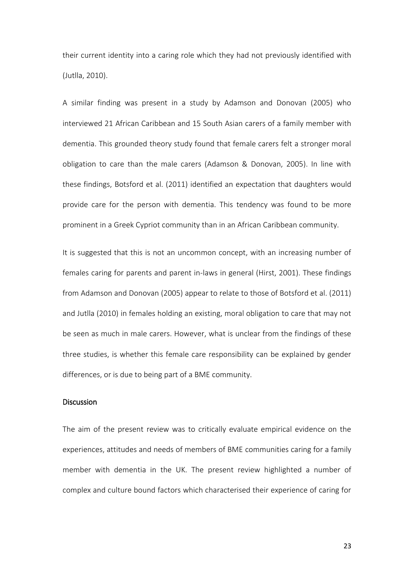their current identity into a caring role which they had not previously identified with (Jutlla, 2010).

A similar finding was present in a study by Adamson and Donovan (2005) who interviewed 21 African Caribbean and 15 South Asian carers of a family member with dementia. This grounded theory study found that female carers felt a stronger moral obligation to care than the male carers (Adamson & Donovan, 2005). In line with these findings, Botsford et al. (2011) identified an expectation that daughters would provide care for the person with dementia. This tendency was found to be more prominent in a Greek Cypriot community than in an African Caribbean community.

It is suggested that this is not an uncommon concept, with an increasing number of females caring for parents and parent in-laws in general (Hirst, 2001). These findings from Adamson and Donovan (2005) appear to relate to those of Botsford et al. (2011) and Jutlla (2010) in females holding an existing, moral obligation to care that may not be seen as much in male carers. However, what is unclear from the findings of these three studies, is whether this female care responsibility can be explained by gender differences, or is due to being part of a BME community.

# **Discussion**

The aim of the present review was to critically evaluate empirical evidence on the experiences, attitudes and needs of members of BME communities caring for a family member with dementia in the UK. The present review highlighted a number of complex and culture bound factors which characterised their experience of caring for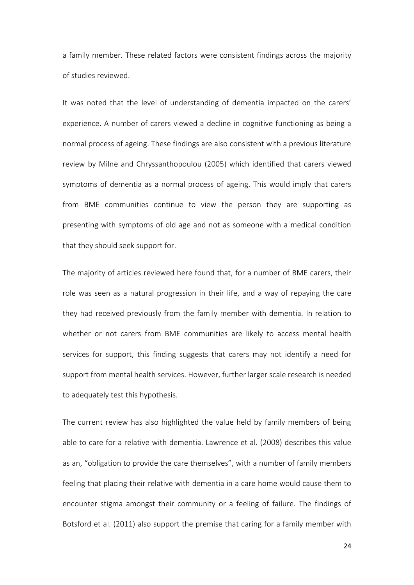a family member. These related factors were consistent findings across the majority of studies reviewed.

It was noted that the level of understanding of dementia impacted on the carers' experience. A number of carers viewed a decline in cognitive functioning as being a normal process of ageing. These findings are also consistent with a previous literature review by Milne and Chryssanthopoulou (2005) which identified that carers viewed symptoms of dementia as a normal process of ageing. This would imply that carers from BME communities continue to view the person they are supporting as presenting with symptoms of old age and not as someone with a medical condition that they should seek support for.

The majority of articles reviewed here found that, for a number of BME carers, their role was seen as a natural progression in their life, and a way of repaying the care they had received previously from the family member with dementia. In relation to whether or not carers from BME communities are likely to access mental health services for support, this finding suggests that carers may not identify a need for support from mental health services. However, further larger scale research is needed to adequately test this hypothesis.

The current review has also highlighted the value held by family members of being able to care for a relative with dementia. Lawrence et al. (2008) describes this value as an, "obligation to provide the care themselves", with a number of family members feeling that placing their relative with dementia in a care home would cause them to encounter stigma amongst their community or a feeling of failure. The findings of Botsford et al. (2011) also support the premise that caring for a family member with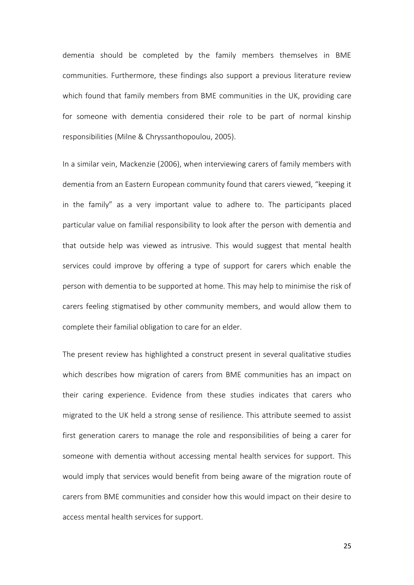dementia should be completed by the family members themselves in BME communities. Furthermore, these findings also support a previous literature review which found that family members from BME communities in the UK, providing care for someone with dementia considered their role to be part of normal kinship responsibilities (Milne & Chryssanthopoulou, 2005).

In a similar vein, Mackenzie (2006), when interviewing carers of family members with dementia from an Eastern European community found that carers viewed, "keeping it in the family" as a very important value to adhere to. The participants placed particular value on familial responsibility to look after the person with dementia and that outside help was viewed as intrusive. This would suggest that mental health services could improve by offering a type of support for carers which enable the person with dementia to be supported at home. This may help to minimise the risk of carers feeling stigmatised by other community members, and would allow them to complete their familial obligation to care for an elder.

The present review has highlighted a construct present in several qualitative studies which describes how migration of carers from BME communities has an impact on their caring experience. Evidence from these studies indicates that carers who migrated to the UK held a strong sense of resilience. This attribute seemed to assist first generation carers to manage the role and responsibilities of being a carer for someone with dementia without accessing mental health services for support. This would imply that services would benefit from being aware of the migration route of carers from BME communities and consider how this would impact on their desire to access mental health services for support.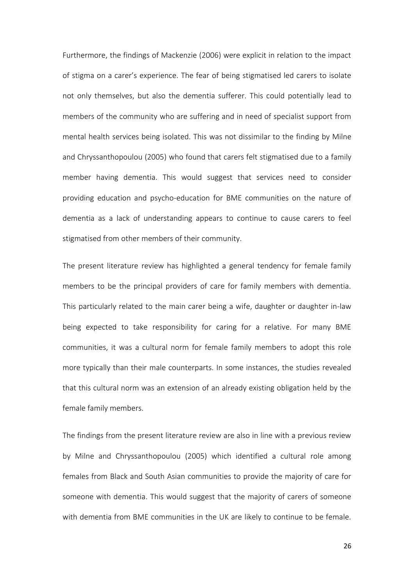Furthermore, the findings of Mackenzie (2006) were explicit in relation to the impact of stigma on a carer's experience. The fear of being stigmatised led carers to isolate not only themselves, but also the dementia sufferer. This could potentially lead to members of the community who are suffering and in need of specialist support from mental health services being isolated. This was not dissimilar to the finding by Milne and Chryssanthopoulou (2005) who found that carers felt stigmatised due to a family member having dementia. This would suggest that services need to consider providing education and psycho-education for BME communities on the nature of dementia as a lack of understanding appears to continue to cause carers to feel stigmatised from other members of their community.

The present literature review has highlighted a general tendency for female family members to be the principal providers of care for family members with dementia. This particularly related to the main carer being a wife, daughter or daughter in-law being expected to take responsibility for caring for a relative. For many BME communities, it was a cultural norm for female family members to adopt this role more typically than their male counterparts. In some instances, the studies revealed that this cultural norm was an extension of an already existing obligation held by the female family members.

The findings from the present literature review are also in line with a previous review by Milne and Chryssanthopoulou (2005) which identified a cultural role among females from Black and South Asian communities to provide the majority of care for someone with dementia. This would suggest that the majority of carers of someone with dementia from BME communities in the UK are likely to continue to be female.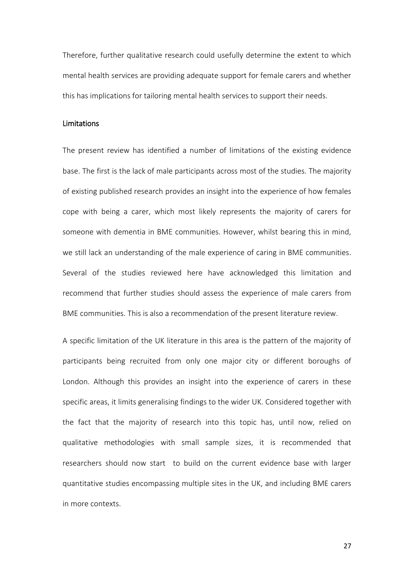Therefore, further qualitative research could usefully determine the extent to which mental health services are providing adequate support for female carers and whether this has implications for tailoring mental health services to support their needs.

## Limitations

The present review has identified a number of limitations of the existing evidence base. The first is the lack of male participants across most of the studies. The majority of existing published research provides an insight into the experience of how females cope with being a carer, which most likely represents the majority of carers for someone with dementia in BME communities. However, whilst bearing this in mind, we still lack an understanding of the male experience of caring in BME communities. Several of the studies reviewed here have acknowledged this limitation and recommend that further studies should assess the experience of male carers from BME communities. This is also a recommendation of the present literature review.

A specific limitation of the UK literature in this area is the pattern of the majority of participants being recruited from only one major city or different boroughs of London. Although this provides an insight into the experience of carers in these specific areas, it limits generalising findings to the wider UK. Considered together with the fact that the majority of research into this topic has, until now, relied on qualitative methodologies with small sample sizes, it is recommended that researchers should now start to build on the current evidence base with larger quantitative studies encompassing multiple sites in the UK, and including BME carers in more contexts.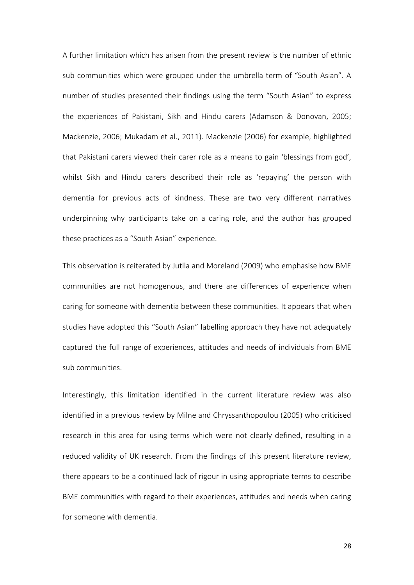A further limitation which has arisen from the present review is the number of ethnic sub communities which were grouped under the umbrella term of "South Asian". A number of studies presented their findings using the term "South Asian" to express the experiences of Pakistani, Sikh and Hindu carers (Adamson & Donovan, 2005; Mackenzie, 2006; Mukadam et al., 2011). Mackenzie (2006) for example, highlighted that Pakistani carers viewed their carer role as a means to gain 'blessings from god', whilst Sikh and Hindu carers described their role as 'repaying' the person with dementia for previous acts of kindness. These are two very different narratives underpinning why participants take on a caring role, and the author has grouped these practices as a "South Asian" experience.

This observation is reiterated by Jutlla and Moreland (2009) who emphasise how BME communities are not homogenous, and there are differences of experience when caring for someone with dementia between these communities. It appears that when studies have adopted this "South Asian" labelling approach they have not adequately captured the full range of experiences, attitudes and needs of individuals from BME sub communities.

Interestingly, this limitation identified in the current literature review was also identified in a previous review by Milne and Chryssanthopoulou (2005) who criticised research in this area for using terms which were not clearly defined, resulting in a reduced validity of UK research. From the findings of this present literature review, there appears to be a continued lack of rigour in using appropriate terms to describe BME communities with regard to their experiences, attitudes and needs when caring for someone with dementia.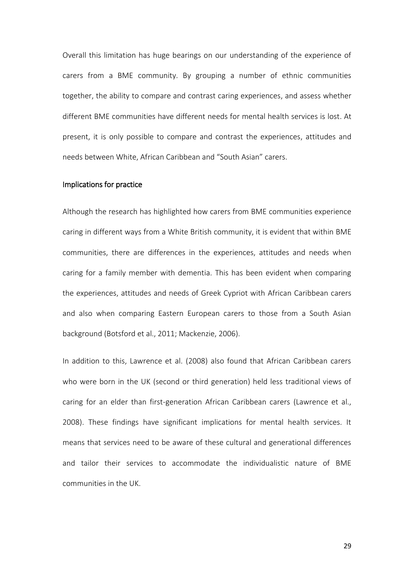Overall this limitation has huge bearings on our understanding of the experience of carers from a BME community. By grouping a number of ethnic communities together, the ability to compare and contrast caring experiences, and assess whether different BME communities have different needs for mental health services is lost. At present, it is only possible to compare and contrast the experiences, attitudes and needs between White, African Caribbean and "South Asian" carers.

## Implications for practice

Although the research has highlighted how carers from BME communities experience caring in different ways from a White British community, it is evident that within BME communities, there are differences in the experiences, attitudes and needs when caring for a family member with dementia. This has been evident when comparing the experiences, attitudes and needs of Greek Cypriot with African Caribbean carers and also when comparing Eastern European carers to those from a South Asian background (Botsford et al., 2011; Mackenzie, 2006).

In addition to this, Lawrence et al. (2008) also found that African Caribbean carers who were born in the UK (second or third generation) held less traditional views of caring for an elder than first-generation African Caribbean carers (Lawrence et al., 2008). These findings have significant implications for mental health services. It means that services need to be aware of these cultural and generational differences and tailor their services to accommodate the individualistic nature of BME communities in the UK.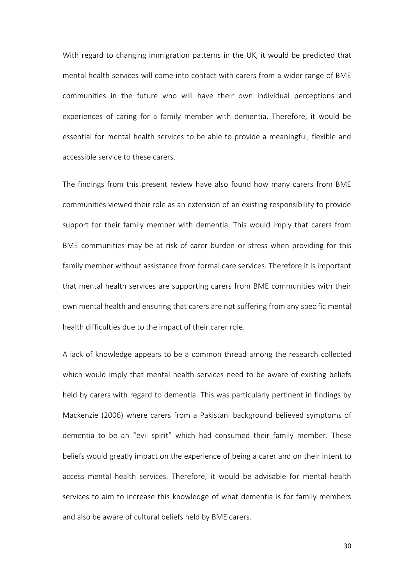With regard to changing immigration patterns in the UK, it would be predicted that mental health services will come into contact with carers from a wider range of BME communities in the future who will have their own individual perceptions and experiences of caring for a family member with dementia. Therefore, it would be essential for mental health services to be able to provide a meaningful, flexible and accessible service to these carers.

The findings from this present review have also found how many carers from BME communities viewed their role as an extension of an existing responsibility to provide support for their family member with dementia. This would imply that carers from BME communities may be at risk of carer burden or stress when providing for this family member without assistance from formal care services. Therefore it is important that mental health services are supporting carers from BME communities with their own mental health and ensuring that carers are not suffering from any specific mental health difficulties due to the impact of their carer role.

A lack of knowledge appears to be a common thread among the research collected which would imply that mental health services need to be aware of existing beliefs held by carers with regard to dementia. This was particularly pertinent in findings by Mackenzie (2006) where carers from a Pakistani background believed symptoms of dementia to be an "evil spirit" which had consumed their family member. These beliefs would greatly impact on the experience of being a carer and on their intent to access mental health services. Therefore, it would be advisable for mental health services to aim to increase this knowledge of what dementia is for family members and also be aware of cultural beliefs held by BME carers.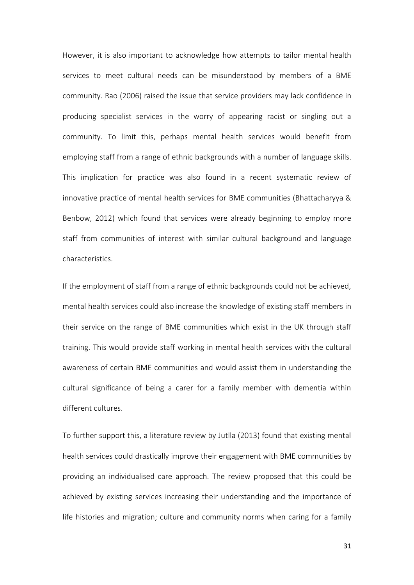However, it is also important to acknowledge how attempts to tailor mental health services to meet cultural needs can be misunderstood by members of a BME community. Rao (2006) raised the issue that service providers may lack confidence in producing specialist services in the worry of appearing racist or singling out a community. To limit this, perhaps mental health services would benefit from employing staff from a range of ethnic backgrounds with a number of language skills. This implication for practice was also found in a recent systematic review of innovative practice of mental health services for BME communities (Bhattacharyya & Benbow, 2012) which found that services were already beginning to employ more staff from communities of interest with similar cultural background and language characteristics.

If the employment of staff from a range of ethnic backgrounds could not be achieved, mental health services could also increase the knowledge of existing staff members in their service on the range of BME communities which exist in the UK through staff training. This would provide staff working in mental health services with the cultural awareness of certain BME communities and would assist them in understanding the cultural significance of being a carer for a family member with dementia within different cultures.

To further support this, a literature review by Jutlla (2013) found that existing mental health services could drastically improve their engagement with BME communities by providing an individualised care approach. The review proposed that this could be achieved by existing services increasing their understanding and the importance of life histories and migration; culture and community norms when caring for a family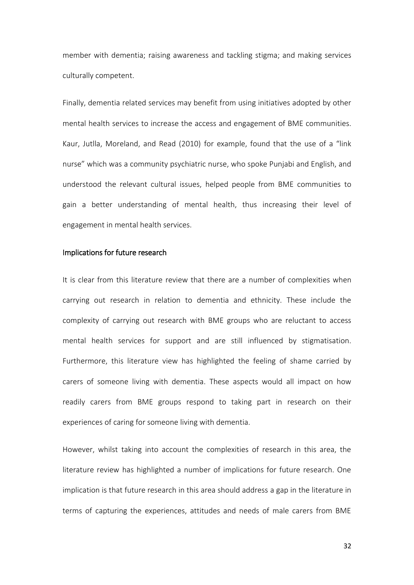member with dementia; raising awareness and tackling stigma; and making services culturally competent.

Finally, dementia related services may benefit from using initiatives adopted by other mental health services to increase the access and engagement of BME communities. Kaur, Jutlla, Moreland, and Read (2010) for example, found that the use of a "link nurse" which was a community psychiatric nurse, who spoke Punjabi and English, and understood the relevant cultural issues, helped people from BME communities to gain a better understanding of mental health, thus increasing their level of engagement in mental health services.

## Implications for future research

It is clear from this literature review that there are a number of complexities when carrying out research in relation to dementia and ethnicity. These include the complexity of carrying out research with BME groups who are reluctant to access mental health services for support and are still influenced by stigmatisation. Furthermore, this literature view has highlighted the feeling of shame carried by carers of someone living with dementia. These aspects would all impact on how readily carers from BME groups respond to taking part in research on their experiences of caring for someone living with dementia.

However, whilst taking into account the complexities of research in this area, the literature review has highlighted a number of implications for future research. One implication is that future research in this area should address a gap in the literature in terms of capturing the experiences, attitudes and needs of male carers from BME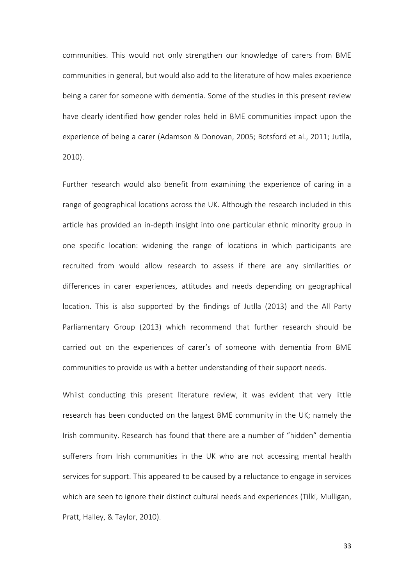communities. This would not only strengthen our knowledge of carers from BME communities in general, but would also add to the literature of how males experience being a carer for someone with dementia. Some of the studies in this present review have clearly identified how gender roles held in BME communities impact upon the experience of being a carer (Adamson & Donovan, 2005; Botsford et al., 2011; Jutlla, 2010).

Further research would also benefit from examining the experience of caring in a range of geographical locations across the UK. Although the research included in this article has provided an in-depth insight into one particular ethnic minority group in one specific location: widening the range of locations in which participants are recruited from would allow research to assess if there are any similarities or differences in carer experiences, attitudes and needs depending on geographical location. This is also supported by the findings of Jutlla (2013) and the All Party Parliamentary Group (2013) which recommend that further research should be carried out on the experiences of carer's of someone with dementia from BME communities to provide us with a better understanding of their support needs.

Whilst conducting this present literature review, it was evident that very little research has been conducted on the largest BME community in the UK; namely the Irish community. Research has found that there are a number of "hidden" dementia sufferers from Irish communities in the UK who are not accessing mental health services for support. This appeared to be caused by a reluctance to engage in services which are seen to ignore their distinct cultural needs and experiences (Tilki, Mulligan, Pratt, Halley, & Taylor, 2010).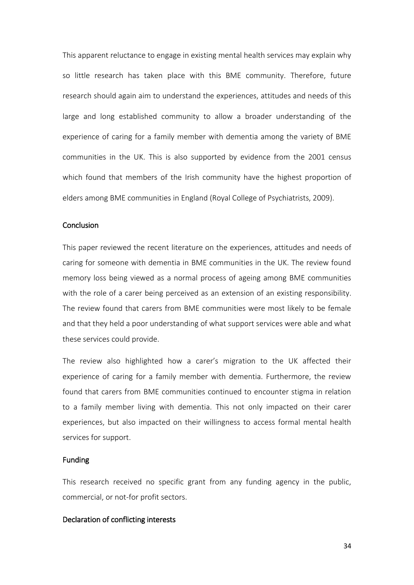This apparent reluctance to engage in existing mental health services may explain why so little research has taken place with this BME community. Therefore, future research should again aim to understand the experiences, attitudes and needs of this large and long established community to allow a broader understanding of the experience of caring for a family member with dementia among the variety of BME communities in the UK. This is also supported by evidence from the 2001 census which found that members of the Irish community have the highest proportion of elders among BME communities in England (Royal College of Psychiatrists, 2009).

# **Conclusion**

This paper reviewed the recent literature on the experiences, attitudes and needs of caring for someone with dementia in BME communities in the UK. The review found memory loss being viewed as a normal process of ageing among BME communities with the role of a carer being perceived as an extension of an existing responsibility. The review found that carers from BME communities were most likely to be female and that they held a poor understanding of what support services were able and what these services could provide.

The review also highlighted how a carer's migration to the UK affected their experience of caring for a family member with dementia. Furthermore, the review found that carers from BME communities continued to encounter stigma in relation to a family member living with dementia. This not only impacted on their carer experiences, but also impacted on their willingness to access formal mental health services for support.

## Funding

This research received no specific grant from any funding agency in the public, commercial, or not-for profit sectors.

# Declaration of conflicting interests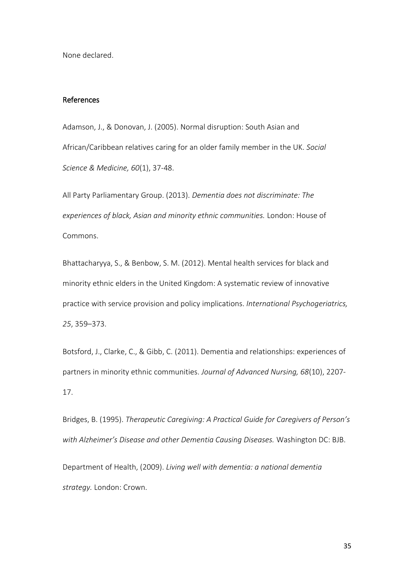None declared.

### References

Adamson, J., & Donovan, J. (2005). Normal disruption: South Asian and African/Caribbean relatives caring for an older family member in the UK. *Social Science & Medicine, 60*(1), 37-48.

All Party Parliamentary Group. (2013). *Dementia does not discriminate: The experiences of black, Asian and minority ethnic communities.* London: House of Commons.

Bhattacharyya, S., & Benbow, S. M. (2012). Mental health services for black and minority ethnic elders in the United Kingdom: A systematic review of innovative practice with service provision and policy implications. *International Psychogeriatrics, 25*, 359–373.

Botsford, J., Clarke, C., & Gibb, C. (2011). Dementia and relationships: experiences of partners in minority ethnic communities. *Journal of Advanced Nursing, 68*(10), 2207- 17.

Bridges, B. (1995). *Therapeutic Caregiving: A Practical Guide for Caregivers of Person's with Alzheimer's Disease and other Dementia Causing Diseases.* Washington DC: BJB. Department of Health, (2009). *Living well with dementia: a national dementia* 

*strategy.* London: Crown.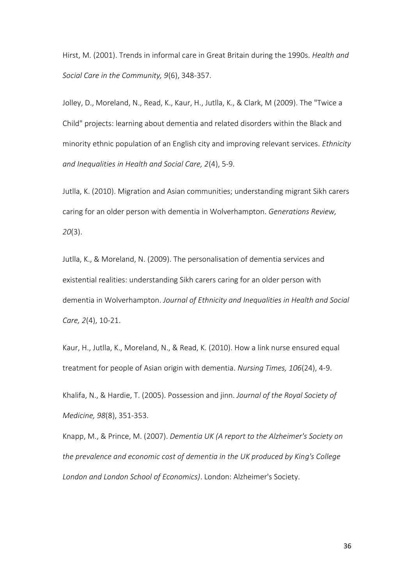Hirst, M. (2001). Trends in informal care in Great Britain during the 1990s. *Health and Social Care in the Community, 9*(6), 348-357.

Jolley, D., Moreland, N., Read, K., Kaur, H., Jutlla, K., & Clark, M (2009). The "Twice a Child" projects: learning about dementia and related disorders within the Black and minority ethnic population of an English city and improving relevant services. *Ethnicity and Inequalities in Health and Social Care, 2*(4), 5-9.

Jutlla, K. (2010). Migration and Asian communities; understanding migrant Sikh carers caring for an older person with dementia in Wolverhampton. *Generations Review, 20*(3).

Jutlla, K., & Moreland, N. (2009). The personalisation of dementia services and existential realities: understanding Sikh carers caring for an older person with dementia in Wolverhampton. *Journal of Ethnicity and Inequalities in Health and Social Care, 2*(4), 10‐21.

Kaur, H., Jutlla, K., Moreland, N., & Read, K. (2010). How a link nurse ensured equal treatment for people of Asian origin with dementia. *Nursing Times, 106*(24), 4‐9.

Khalifa, N., & Hardie, T. (2005). Possession and jinn. *Journal of the Royal Society of Medicine, 98*(8), 351-353.

Knapp, M., & Prince, M. (2007). *Dementia UK (A report to the Alzheimer's Society on the prevalence and economic cost of dementia in the UK produced by King's College London and London School of Economics)*. London: Alzheimer's Society.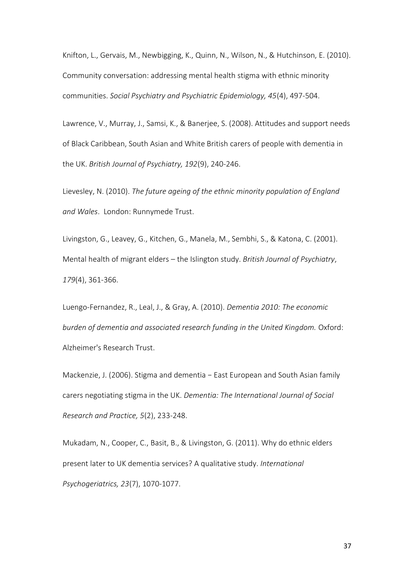Knifton, L., Gervais, M., Newbigging, K., Quinn, N., Wilson, N., & Hutchinson, E. (2010). Community conversation: addressing mental health stigma with ethnic minority communities. *Social Psychiatry and Psychiatric Epidemiology, 45*(4), 497-504.

Lawrence, V., Murray, J., Samsi, K., & Banerjee, S. (2008). Attitudes and support needs of Black Caribbean, South Asian and White British carers of people with dementia in the UK. *British Journal of Psychiatry, 192*(9), 240-246.

Lievesley, N. (2010). *The future ageing of the ethnic minority population of England and Wales*. London: Runnymede Trust.

Livingston, G., Leavey, G., Kitchen, G., Manela, M., Sembhi, S., & Katona, C. (2001). Mental health of migrant elders – the Islington study. *British Journal of Psychiatry*, *179*(4), 361-366.

Luengo-Fernandez, R., Leal, J., & Gray, A. (2010). *Dementia 2010: The economic burden of dementia and associated research funding in the United Kingdom.* Oxford: Alzheimer's Research Trust.

Mackenzie, J. (2006). Stigma and dementia − East European and South Asian family carers negotiating stigma in the UK. *Dementia: The International Journal of Social Research and Practice, 5*(2), 233-248.

Mukadam, N., Cooper, C., Basit, B., & Livingston, G. (2011). Why do ethnic elders present later to UK dementia services? A qualitative study. *International Psychogeriatrics, 23*(7), 1070-1077.